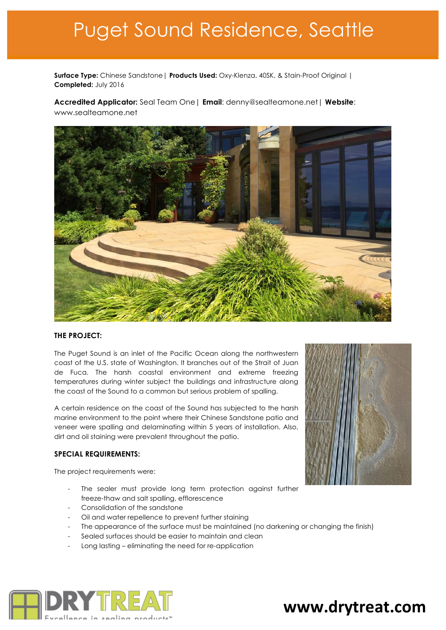# Puget Sound Residence, Seattle

**Surface Type:** Chinese Sandstone| **Products Used:** Oxy-Klenza, 40SK, & Stain-Proof Original | **Completed:** July 2016

**Accredited Applicator:** Seal Team One| **Email**: denny@sealteamone.net| **Website**: www.sealteamone.net



### **THE PROJECT:**

The Puget Sound is an inlet of the Pacific Ocean along the northwestern coast of the U.S. state of Washington. It branches out of the Strait of Juan de Fuca. The harsh coastal environment and extreme freezing temperatures during winter subject the buildings and infrastructure along the coast of the Sound to a common but serious problem of spalling.

A certain residence on the coast of the Sound has subjected to the harsh marine environment to the point where their Chinese Sandstone patio and veneer were spalling and delaminating within 5 years of installation. Also, dirt and oil staining were prevalent throughout the patio.

## **SPECIAL REQUIREMENTS:**

The project requirements were:

- The sealer must provide long term protection against further freeze-thaw and salt spalling, efflorescence
- Consolidation of the sandstone
- Oil and water repellence to prevent further staining
- The appearance of the surface must be maintained (no darkening or changing the finish)
- Sealed surfaces should be easier to maintain and clean
- Long lasting eliminating the need for re-application





# www.drytreat.com